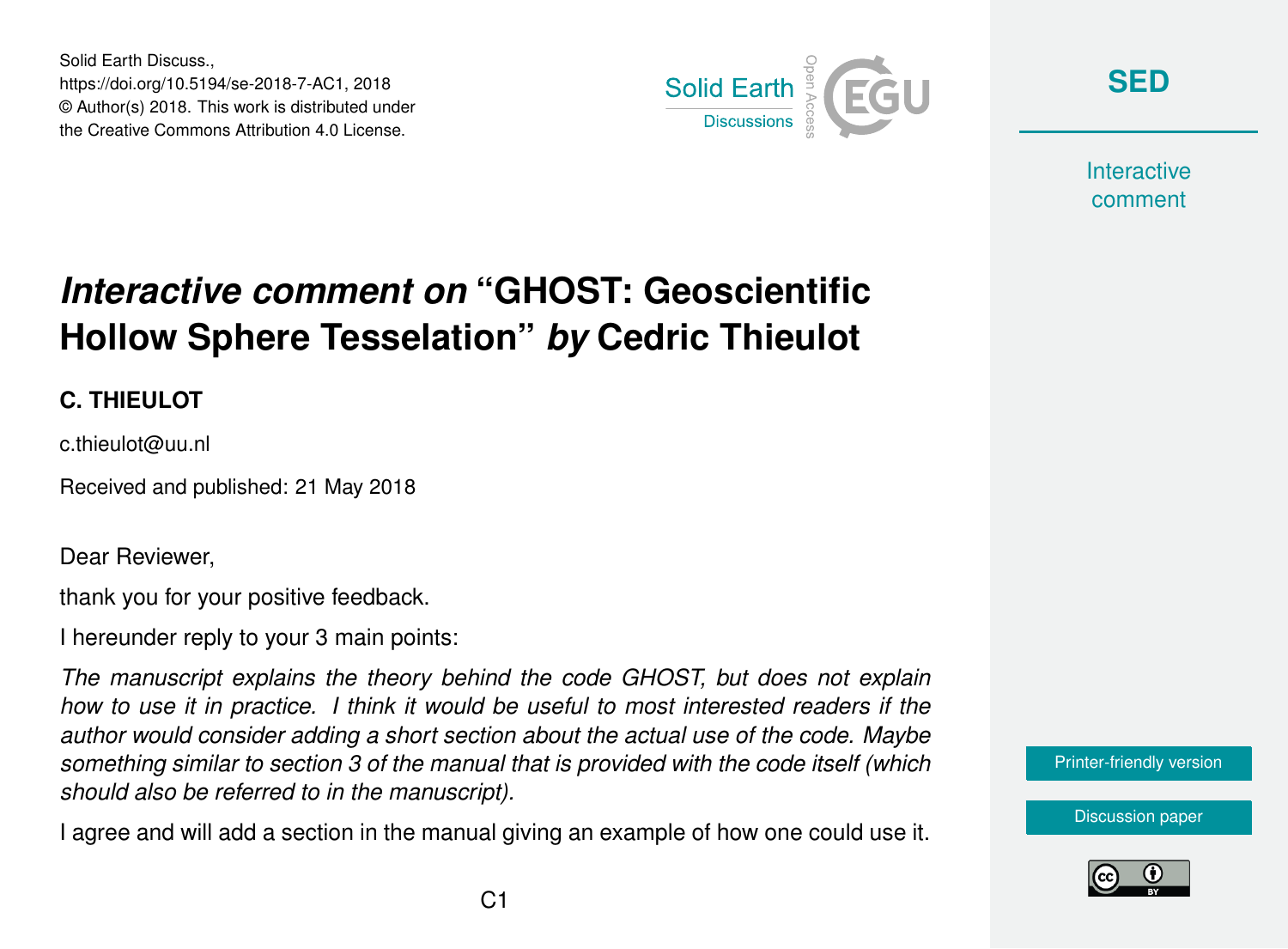Solid Earth Discuss., https://doi.org/10.5194/se-2018-7-AC1, 2018 © Author(s) 2018. This work is distributed under the Creative Commons Attribution 4.0 License.



**[SED](https://www.solid-earth-discuss.net/)**

**Interactive** comment

## *Interactive comment on* **"GHOST: Geoscientific Hollow Sphere Tesselation"** *by* **Cedric Thieulot**

## **C. THIEULOT**

c.thieulot@uu.nl

Received and published: 21 May 2018

Dear Reviewer,

thank you for your positive feedback.

I hereunder reply to your 3 main points:

*The manuscript explains the theory behind the code GHOST, but does not explain how to use it in practice. I think it would be useful to most interested readers if the author would consider adding a short section about the actual use of the code. Maybe something similar to section 3 of the manual that is provided with the code itself (which should also be referred to in the manuscript).*

I agree and will add a section in the manual giving an example of how one could use it.



[Discussion paper](https://www.solid-earth-discuss.net/se-2018-7)